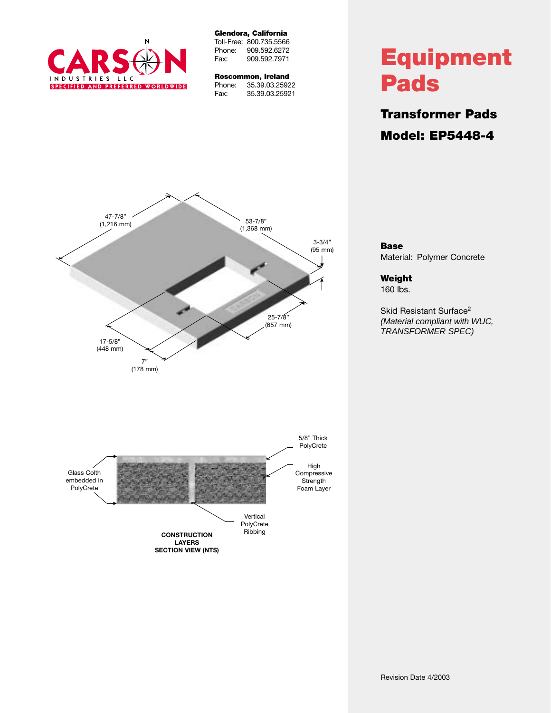

**Glendora, California** Toll-Free: 800.735.5566 Phone: 909.592.6272 Fax: 909.592.7971

**Roscommon, Ireland** Phone: 35.39.03.25922<br>Fax: 35.39.03.25921 Fax: 35.39.03.25921

## **Equipment Pads**

## **Transformer Pads Model: EP5448-4**



**Base** Material: Polymer Concrete

**Weight** 160 lbs.

Skid Resistant Surface<sup>2</sup> (Material compliant with WUC, TRANSFORMER SPEC)